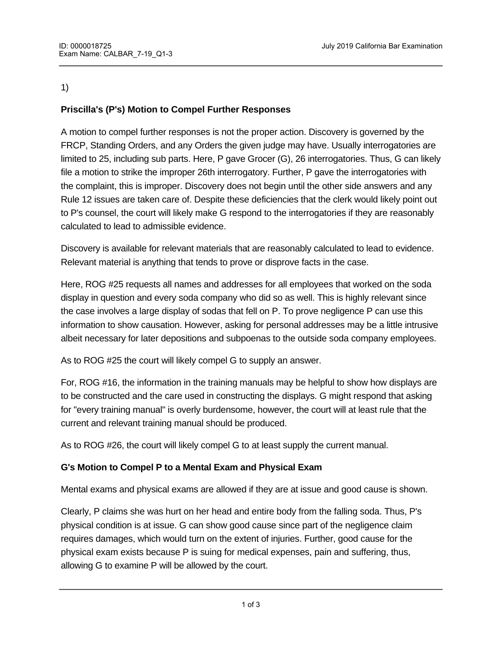#### 1)

# **Priscilla's (P's) Motion to Compel Further Responses**

A motion to compel further responses is not the proper action. Discovery is governed by the FRCP, Standing Orders, and any Orders the given judge may have. Usually interrogatories are limited to 25, including sub parts. Here, P gave Grocer (G), 26 interrogatories. Thus, G can likely file a motion to strike the improper 26th interrogatory. Further, P gave the interrogatories with the complaint, this is improper. Discovery does not begin until the other side answers and any Rule 12 issues are taken care of. Despite these deficiencies that the clerk would likely point out to P's counsel, the court will likely make G respond to the interrogatories if they are reasonably calculated to lead to admissible evidence.

Discovery is available for relevant materials that are reasonably calculated to lead to evidence. Relevant material is anything that tends to prove or disprove facts in the case.

Here, ROG #25 requests all names and addresses for all employees that worked on the soda display in question and every soda company who did so as well. This is highly relevant since the case involves a large display of sodas that fell on P. To prove negligence P can use this information to show causation. However, asking for personal addresses may be a little intrusive albeit necessary for later depositions and subpoenas to the outside soda company employees.

As to ROG #25 the court will likely compel G to supply an answer.

For, ROG #16, the information in the training manuals may be helpful to show how displays are to be constructed and the care used in constructing the displays. G might respond that asking for "every training manual" is overly burdensome, however, the court will at least rule that the current and relevant training manual should be produced.

As to ROG #26, the court will likely compel G to at least supply the current manual.

# **G's Motion to Compel P to a Mental Exam and Physical Exam**

However, the facts do not state that  $P'$  such states that  $P'$  mental state is at isoue. The facts of  $\mathcal{P}'$ 

Mental exams and physical exams are allowed if they are at issue and good cause is shown.

Clearly, P claims she was hurt on her head and entire body from the falling soda. Thus, P's physical condition is at issue. G can show good cause since part of the negligence claim requires damages, which would turn on the extent of injuries. Further, good cause for the physical exam exists because P is suing for medical expenses, pain and suffering, thus, allowing G to examine P will be allowed by the court.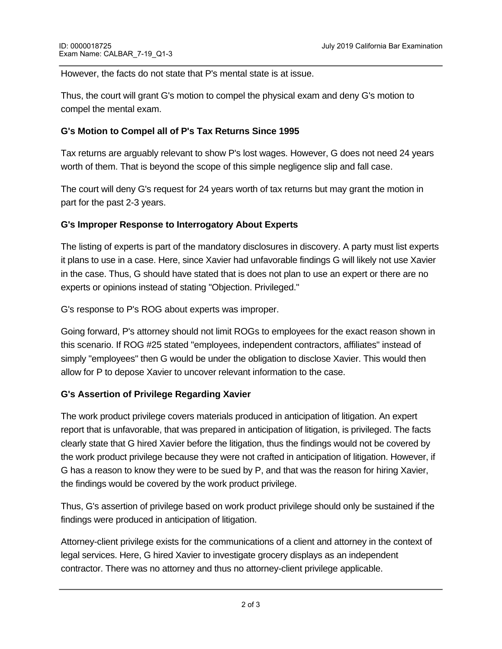However, the facts do not state that P's mental state is at issue.

Thus, the court will grant G's motion to compel the physical exam and deny G's motion to compel the mental exam.

### **G's Motion to Compel all of P's Tax Returns Since 1995**

Tax returns are arguably relevant to show P's lost wages. However, G does not need 24 years worth of them. That is beyond the scope of this simple negligence slip and fall case.

The court will deny G's request for 24 years worth of tax returns but may grant the motion in part for the past 2-3 years.

#### **G's Improper Response to Interrogatory About Experts**

The listing of experts is part of the mandatory disclosures in discovery. A party must list experts it plans to use in a case. Here, since Xavier had unfavorable findings G will likely not use Xavier in the case. Thus, G should have stated that is does not plan to use an expert or there are no experts or opinions instead of stating "Objection. Privileged."

G's response to P's ROG about experts was improper.

Going forward, P's attorney should not limit ROGs to employees for the exact reason shown in this scenario. If ROG #25 stated "employees, independent contractors, affiliates" instead of simply "employees" then G would be under the obligation to disclose Xavier. This would then allow for P to depose Xavier to uncover relevant information to the case.

# **G's Assertion of Privilege Regarding Xavier**

The work product privilege covers materials produced in anticipation of litigation. An expert report that is unfavorable, that was prepared in anticipation of litigation, is privileged. The facts clearly state that G hired Xavier before the litigation, thus the findings would not be covered by the work product privilege because they were not crafted in anticipation of litigation. However, if G has a reason to know they were to be sued by P, and that was the reason for hiring Xavier, the findings would be covered by the work product privilege.

Thus, G's assertion of privilege based on work product privilege should only be sustained if the findings were produced in anticipation of litigation.

Attorney-client privilege exists for the communications of a client and attorney in the context of legal services. Here, G hired Xavier to investigate grocery displays as an independent contractor. There was no attorney and thus no attorney-client privilege applicable.

If, G claims privilege based on an attorney-client privilege, the court should overrule the